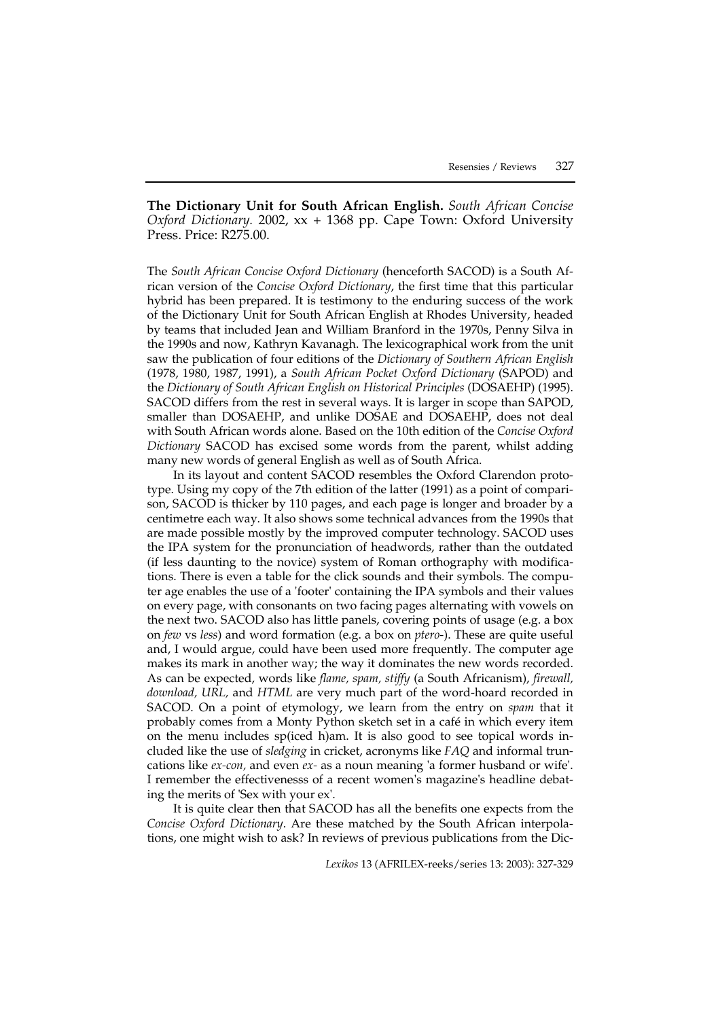**The Dictionary Unit for South African English.** *South African Concise Oxford Dictionary.* 2002, xx + 1368 pp. Cape Town: Oxford University Press. Price: R275.00.

The *South African Concise Oxford Dictionary* (henceforth SACOD) is a South African version of the *Concise Oxford Dictionary*, the first time that this particular hybrid has been prepared. It is testimony to the enduring success of the work of the Dictionary Unit for South African English at Rhodes University, headed by teams that included Jean and William Branford in the 1970s, Penny Silva in the 1990s and now, Kathryn Kavanagh. The lexicographical work from the unit saw the publication of four editions of the *Dictionary of Southern African English* (1978, 1980, 1987, 1991), a *South African Pocket Oxford Dictionary* (SAPOD) and the *Dictionary of South African English on Historical Principles* (DOSAEHP) (1995). SACOD differs from the rest in several ways. It is larger in scope than SAPOD, smaller than DOSAEHP, and unlike DOSAE and DOSAEHP, does not deal with South African words alone. Based on the 10th edition of the *Concise Oxford Dictionary* SACOD has excised some words from the parent, whilst adding many new words of general English as well as of South Africa.

In its layout and content SACOD resembles the Oxford Clarendon prototype. Using my copy of the 7th edition of the latter (1991) as a point of comparison, SACOD is thicker by 110 pages, and each page is longer and broader by a centimetre each way. It also shows some technical advances from the 1990s that are made possible mostly by the improved computer technology. SACOD uses the IPA system for the pronunciation of headwords, rather than the outdated (if less daunting to the novice) system of Roman orthography with modifications. There is even a table for the click sounds and their symbols. The computer age enables the use of a 'footer' containing the IPA symbols and their values on every page, with consonants on two facing pages alternating with vowels on the next two. SACOD also has little panels, covering points of usage (e.g. a box on *few* vs *less*) and word formation (e.g. a box on *ptero*-). These are quite useful and, I would argue, could have been used more frequently. The computer age makes its mark in another way; the way it dominates the new words recorded. As can be expected, words like *flame, spam, stiffy* (a South Africanism), *firewall, download, URL,* and *HTML* are very much part of the word-hoard recorded in SACOD. On a point of etymology, we learn from the entry on *spam* that it probably comes from a Monty Python sketch set in a café in which every item on the menu includes sp(iced h)am. It is also good to see topical words included like the use of *sledging* in cricket, acronyms like *FAQ* and informal truncations like *ex-con,* and even *ex-* as a noun meaning 'a former husband or wife'. I remember the effectivenesss of a recent women's magazine's headline debating the merits of 'Sex with your ex'.

It is quite clear then that SACOD has all the benefits one expects from the *Concise Oxford Dictionary*. Are these matched by the South African interpolations, one might wish to ask? In reviews of previous publications from the Dic-

*Lexikos* 13 (AFRILEX-reeks/series 13: 2003): 327-329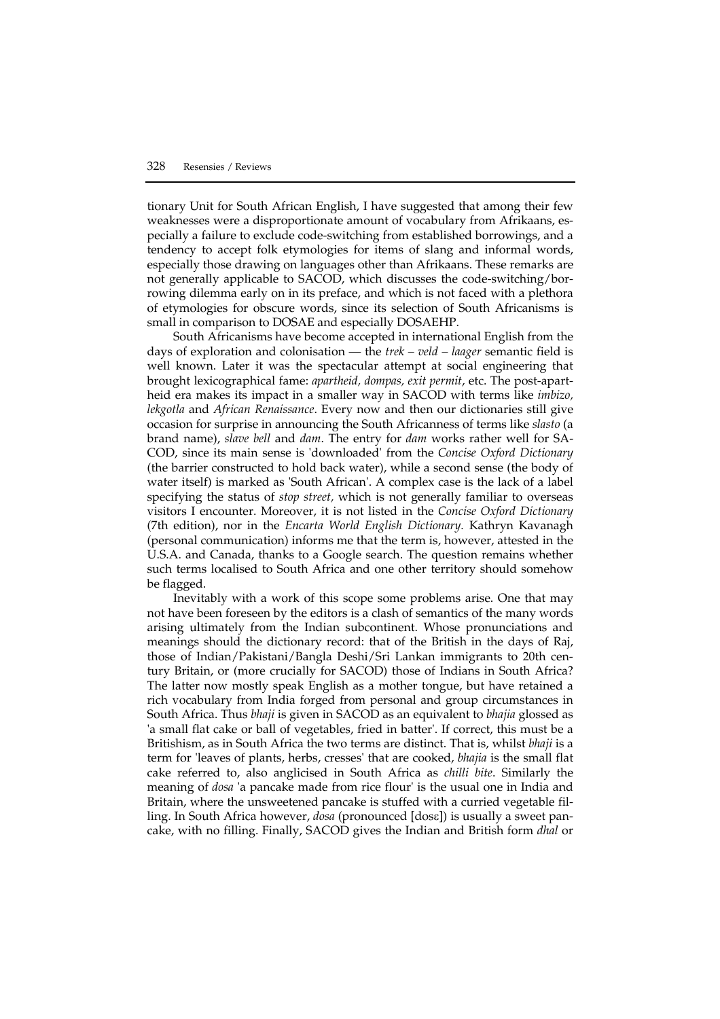tionary Unit for South African English, I have suggested that among their few weaknesses were a disproportionate amount of vocabulary from Afrikaans, especially a failure to exclude code-switching from established borrowings, and a tendency to accept folk etymologies for items of slang and informal words, especially those drawing on languages other than Afrikaans. These remarks are not generally applicable to SACOD, which discusses the code-switching/borrowing dilemma early on in its preface, and which is not faced with a plethora of etymologies for obscure words, since its selection of South Africanisms is small in comparison to DOSAE and especially DOSAEHP.

South Africanisms have become accepted in international English from the days of exploration and colonisation — the *trek – veld – laager* semantic field is well known. Later it was the spectacular attempt at social engineering that brought lexicographical fame: *apartheid, dompas, exit permit*, etc. The post-apartheid era makes its impact in a smaller way in SACOD with terms like *imbizo, lekgotla* and *African Renaissance*. Every now and then our dictionaries still give occasion for surprise in announcing the South Africanness of terms like *slasto* (a brand name), *slave bell* and *dam*. The entry for *dam* works rather well for SA-COD, since its main sense is 'downloaded' from the *Concise Oxford Dictionary* (the barrier constructed to hold back water), while a second sense (the body of water itself) is marked as 'South African'. A complex case is the lack of a label specifying the status of *stop street,* which is not generally familiar to overseas visitors I encounter. Moreover, it is not listed in the *Concise Oxford Dictionary* (7th edition), nor in the *Encarta World English Dictionary.* Kathryn Kavanagh (personal communication) informs me that the term is, however, attested in the U.S.A. and Canada, thanks to a Google search. The question remains whether such terms localised to South Africa and one other territory should somehow be flagged.

Inevitably with a work of this scope some problems arise. One that may not have been foreseen by the editors is a clash of semantics of the many words arising ultimately from the Indian subcontinent. Whose pronunciations and meanings should the dictionary record: that of the British in the days of Raj, those of Indian/Pakistani/Bangla Deshi/Sri Lankan immigrants to 20th century Britain, or (more crucially for SACOD) those of Indians in South Africa? The latter now mostly speak English as a mother tongue, but have retained a rich vocabulary from India forged from personal and group circumstances in South Africa. Thus *bhaji* is given in SACOD as an equivalent to *bhajia* glossed as 'a small flat cake or ball of vegetables, fried in batter'. If correct, this must be a Britishism, as in South Africa the two terms are distinct. That is, whilst *bhaji* is a term for 'leaves of plants, herbs, cresses' that are cooked, *bhajia* is the small flat cake referred to, also anglicised in South Africa as *chilli bite*. Similarly the meaning of *dosa* 'a pancake made from rice flour' is the usual one in India and Britain, where the unsweetened pancake is stuffed with a curried vegetable filling. In South Africa however, *dosa* (pronounced [dosε]) is usually a sweet pancake, with no filling. Finally, SACOD gives the Indian and British form *dhal* or